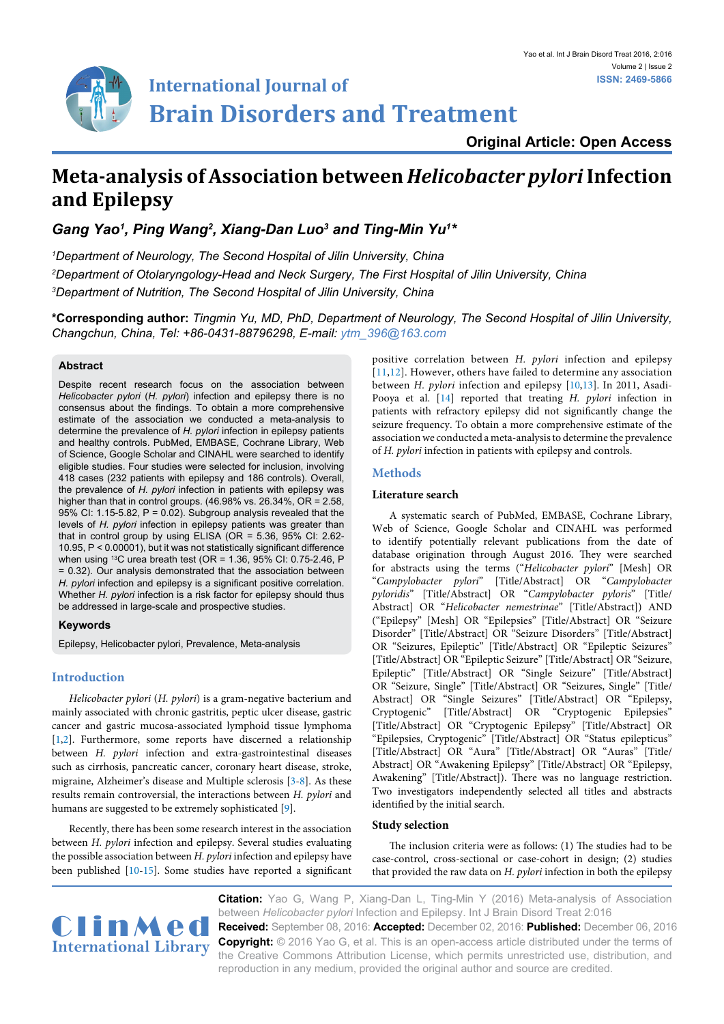

**Original Article: Open Access**

# **Meta-analysis of Association between** *Helicobacter pylori* **Infection and Epilepsy**

Gang Yao<sup>1</sup>, Ping Wang<sup>2</sup>, Xiang-Dan Luo<sup>3</sup> and Ting-Min Yu<sup>1\*</sup>

*1 Department of Neurology, The Second Hospital of Jilin University, China 2 Department of Otolaryngology-Head and Neck Surgery, The First Hospital of Jilin University, China 3 Department of Nutrition, The Second Hospital of Jilin University, China*

**\*Corresponding author:** *Tingmin Yu, MD, PhD, Department of Neurology, The Second Hospital of Jilin University, Changchun, China, Tel: +86-0431-88796298, E-mail: ytm\_396@163.com*

## **Abstract**

Despite recent research focus on the association between *Helicobacter pylori* (*H. pylori*) infection and epilepsy there is no consensus about the findings. To obtain a more comprehensive estimate of the association we conducted a meta-analysis to determine the prevalence of *H. pylori* infection in epilepsy patients and healthy controls. PubMed, EMBASE, Cochrane Library, Web of Science, Google Scholar and CINAHL were searched to identify eligible studies. Four studies were selected for inclusion, involving 418 cases (232 patients with epilepsy and 186 controls). Overall, the prevalence of *H. pylori* infection in patients with epilepsy was higher than that in control groups. (46.98% vs. 26.34%, OR = 2.58, 95% CI: 1.15-5.82,  $P = 0.02$ ). Subgroup analysis revealed that the levels of *H. pylori* infection in epilepsy patients was greater than that in control group by using ELISA (OR = 5.36, 95% CI: 2.62- 10.95, P < 0.00001), but it was not statistically significant difference when using <sup>13</sup>C urea breath test (OR = 1.36, 95% CI: 0.75-2.46, P = 0.32). Our analysis demonstrated that the association between *H. pylori* infection and epilepsy is a significant positive correlation. Whether *H. pylori* infection is a risk factor for epilepsy should thus be addressed in large-scale and prospective studies.

# **Keywords**

Epilepsy, Helicobacter pylori, Prevalence, Meta-analysis

# **Introduction**

*Helicobacter pylori* (*H. pylori*) is a gram-negative bacterium and mainly associated with chronic gastritis, peptic ulcer disease, gastric cancer and gastric mucosa-associated lymphoid tissue lymphoma [[1,](#page-2-0)[2](#page-3-5)]. Furthermore, some reports have discerned a relationship between *H. pylori* infection and extra-gastrointestinal diseases such as cirrhosis, pancreatic cancer, coronary heart disease, stroke, migraine, Alzheimer's disease and Multiple sclerosis [[3](#page-3-6)[-8\]](#page-3-7). As these results remain controversial, the interactions between *H. pylori* and humans are suggested to be extremely sophisticated [[9](#page-3-8)].

Recently, there has been some research interest in the association between *H. pylori* infection and epilepsy. Several studies evaluating the possible association between *H. pylori* infection and epilepsy have been published [[10-](#page-3-2)[15](#page-3-9)]. Some studies have reported a significant positive correlation between *H. pylori* infection and epilepsy [\[11](#page-3-0),[12\]](#page-3-1). However, others have failed to determine any association between *H. pylori* infection and epilepsy [\[10](#page-3-2)[,13\]](#page-3-3). In 2011, Asadi-Pooya et al. [\[14\]](#page-3-4) reported that treating *H. pylori* infection in patients with refractory epilepsy did not significantly change the seizure frequency. To obtain a more comprehensive estimate of the association we conducted a meta-analysis to determine the prevalence of *H. pylori* infection in patients with epilepsy and controls.

# **Methods**

## **Literature search**

A systematic search of PubMed, EMBASE, Cochrane Library, Web of Science, Google Scholar and CINAHL was performed to identify potentially relevant publications from the date of database origination through August 2016. They were searched for abstracts using the terms ("*Helicobacter pylori*" [Mesh] OR "*Campylobacter pylori*" [Title/Abstract] OR "*Campylobacter pyloridis*" [Title/Abstract] OR "*Campylobacter pyloris*" [Title/ Abstract] OR "*Helicobacter nemestrinae*" [Title/Abstract]) AND ("Epilepsy" [Mesh] OR "Epilepsies" [Title/Abstract] OR "Seizure Disorder" [Title/Abstract] OR "Seizure Disorders" [Title/Abstract] OR "Seizures, Epileptic" [Title/Abstract] OR "Epileptic Seizures" [Title/Abstract] OR "Epileptic Seizure" [Title/Abstract] OR "Seizure, Epileptic" [Title/Abstract] OR "Single Seizure" [Title/Abstract] OR "Seizure, Single" [Title/Abstract] OR "Seizures, Single" [Title/ Abstract] OR "Single Seizures" [Title/Abstract] OR "Epilepsy, Cryptogenic" [Title/Abstract] OR "Cryptogenic Epilepsies" [Title/Abstract] OR "Cryptogenic Epilepsy" [Title/Abstract] OR "Epilepsies, Cryptogenic" [Title/Abstract] OR "Status epilepticus" [Title/Abstract] OR "Aura" [Title/Abstract] OR "Auras" [Title/ Abstract] OR "Awakening Epilepsy" [Title/Abstract] OR "Epilepsy, Awakening" [Title/Abstract]). There was no language restriction. Two investigators independently selected all titles and abstracts identified by the initial search.

# **Study selection**

The inclusion criteria were as follows: (1) The studies had to be case-control, cross-sectional or case-cohort in design; (2) studies that provided the raw data on *H. pylori* infection in both the epilepsy



**CLINMED Received:** September 08, 2016: Accepted: December 02, 2016: Published: December 06, 2016<br>Convertebt: @ 2016 Yea C, at al. This is an appen accepted cliential under the terms of **Citation:** Yao G, Wang P, Xiang-Dan L, Ting-Min Y (2016) Meta-analysis of Association between *Helicobacter pylori* Infection and Epilepsy. Int J Brain Disord Treat 2:016 **Copyright:** © 2016 Yao G, et al. This is an open-access article distributed under the terms of the Creative Commons Attribution License, which permits unrestricted use, distribution, and reproduction in any medium, provided the original author and source are credited.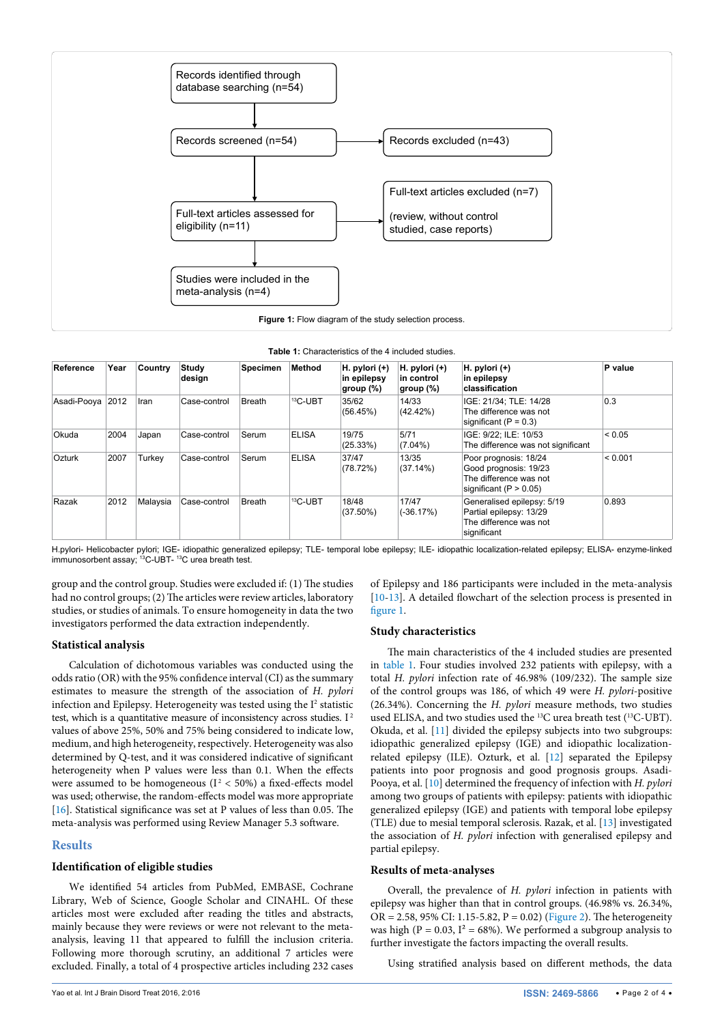<span id="page-1-0"></span>

<span id="page-1-1"></span>

| <b>Table 1:</b> Characteristics of the 4 included studies. |  |
|------------------------------------------------------------|--|
|------------------------------------------------------------|--|

| Reference        | Year | Country  | Study<br>design | <b>Specimen</b> | Method       | $H.$ pylori $(+)$<br>in epilepsy<br>group (%) | H. pylori $(+)$<br>in control<br>group (%) | H. pylori (+)<br>in epilepsy<br>classification                                                         | P value     |
|------------------|------|----------|-----------------|-----------------|--------------|-----------------------------------------------|--------------------------------------------|--------------------------------------------------------------------------------------------------------|-------------|
| Asadi-Pooya 2012 |      | Iran     | Case-control    | Breath          | $13C$ -UBT   | 35/62<br>(56.45%)                             | 14/33<br>(42.42%)                          | IGE: 21/34: TLE: 14/28<br>The difference was not<br>significant $(P = 0.3)$                            | 0.3         |
| Okuda            | 2004 | Japan    | Case-control    | Serum           | <b>ELISA</b> | 19/75<br>(25.33%)                             | 5/71<br>$(7.04\%)$                         | IGE: 9/22: ILE: 10/53<br>The difference was not significant                                            | ${}_{0.05}$ |
| Ozturk           | 2007 | Turkey   | Case-control    | Serum           | <b>ELISA</b> | 37/47<br>(78.72%)                             | 13/35<br>$(37.14\%)$                       | Poor prognosis: 18/24<br>Good prognosis: 19/23<br>The difference was not<br>significant ( $P > 0.05$ ) | $ $ < 0.001 |
| Razak            | 2012 | Malaysia | Case-control    | Breath          | $13C$ -UBT   | 18/48<br>$(37.50\%)$                          | 17/47<br>$(-36.17%)$                       | Generalised epilepsy: 5/19<br>Partial epilepsy: 13/29<br>The difference was not<br>significant         | 0.893       |

H.pylori- Helicobacter pylori; IGE- idiopathic generalized epilepsy; TLE- temporal lobe epilepsy; ILE- idiopathic localization-related epilepsy; ELISA- enzyme-linked immunosorbent assay; <sup>13</sup>C-UBT- <sup>13</sup>C urea breath test.

group and the control group. Studies were excluded if: (1) The studies had no control groups; (2) The articles were review articles, laboratory studies, or studies of animals. To ensure homogeneity in data the two investigators performed the data extraction independently.

#### **Statistical analysis**

Calculation of dichotomous variables was conducted using the odds ratio (OR) with the 95% confidence interval (CI) as the summary estimates to measure the strength of the association of *H. pylori* infection and Epilepsy. Heterogeneity was tested using the  $I<sup>2</sup>$  statistic test, which is a quantitative measure of inconsistency across studies. I<sup>2</sup> values of above 25%, 50% and 75% being considered to indicate low, medium, and high heterogeneity, respectively. Heterogeneity was also determined by Q-test, and it was considered indicative of significant heterogeneity when P values were less than 0.1. When the effects were assumed to be homogeneous ( $I<sup>2</sup> < 50%$ ) a fixed-effects model was used; otherwise, the random-effects model was more appropriate [[16](#page-3-10)]. Statistical significance was set at P values of less than 0.05. The meta-analysis was performed using Review Manager 5.3 software.

## **Results**

## **Identification of eligible studies**

We identified 54 articles from PubMed, EMBASE, Cochrane Library, Web of Science, Google Scholar and CINAHL. Of these articles most were excluded after reading the titles and abstracts, mainly because they were reviews or were not relevant to the metaanalysis, leaving 11 that appeared to fulfill the inclusion criteria. Following more thorough scrutiny, an additional 7 articles were excluded. Finally, a total of 4 prospective articles including 232 cases of Epilepsy and 186 participants were included in the meta-analysis [[10](#page-3-2)-[13](#page-3-3)]. A detailed flowchart of the selection process is presented in [figure 1](#page-1-0).

#### **Study characteristics**

The main characteristics of the 4 included studies are presented in [table 1.](#page-1-1) Four studies involved 232 patients with epilepsy, with a total *H. pylori* infection rate of 46.98% (109/232). The sample size of the control groups was 186, of which 49 were *H. pylori*-positive (26.34%). Concerning the *H. pylori* measure methods, two studies used ELISA, and two studies used the 13C urea breath test (13C-UBT). Okuda, et al. [[11](#page-3-0)] divided the epilepsy subjects into two subgroups: idiopathic generalized epilepsy (IGE) and idiopathic localizationrelated epilepsy (ILE). Ozturk, et al. [[12](#page-3-1)] separated the Epilepsy patients into poor prognosis and good prognosis groups. Asadi-Pooya, et al. [\[10](#page-3-2)] determined the frequency of infection with *H. pylori* among two groups of patients with epilepsy: patients with idiopathic generalized epilepsy (IGE) and patients with temporal lobe epilepsy (TLE) due to mesial temporal sclerosis. Razak, et al. [[13](#page-3-3)] investigated the association of *H. pylori* infection with generalised epilepsy and partial epilepsy.

## **Results of meta-analyses**

Overall, the prevalence of *H. pylori* infection in patients with epilepsy was higher than that in control groups. (46.98% vs. 26.34%, OR = 2.58, 95% CI: 1.15-5.82, P = 0.02) [\(Figure 2\)](#page-2-1). The heterogeneity was high ( $P = 0.03$ ,  $I^2 = 68\%$ ). We performed a subgroup analysis to further investigate the factors impacting the overall results.

Using stratified analysis based on different methods, the data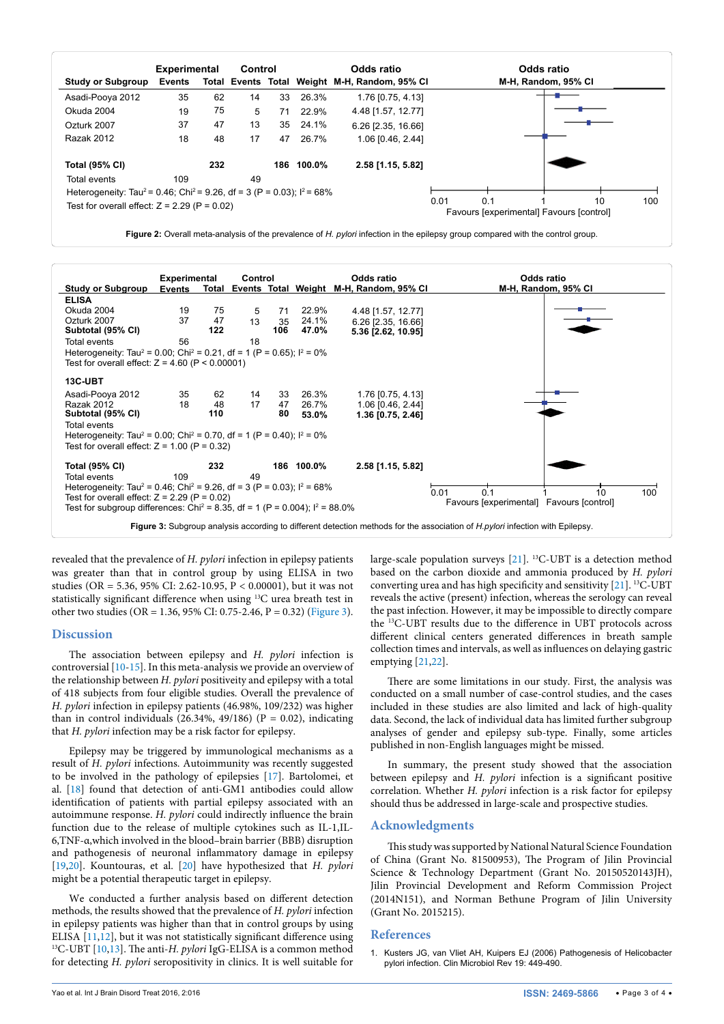<span id="page-2-1"></span>

|                                                                                                 | <b>Experimental</b> |     | Control |    |            | Odds ratio                                    |      |     | Odds ratio                               |    |     |
|-------------------------------------------------------------------------------------------------|---------------------|-----|---------|----|------------|-----------------------------------------------|------|-----|------------------------------------------|----|-----|
| Study or Subgroup                                                                               | <b>Events</b>       |     |         |    |            | Total Events Total Weight M-H, Random, 95% CI |      |     | M-H, Random, 95% CI                      |    |     |
| Asadi-Pooya 2012                                                                                | 35                  | 62  | 14      | 33 | 26.3%      | 1.76 [0.75, 4.13]                             |      |     |                                          |    |     |
| Okuda 2004                                                                                      | 19                  | 75  | 5       | 71 | 22.9%      | 4.48 [1.57, 12.77]                            |      |     |                                          |    |     |
| Ozturk 2007                                                                                     | 37                  | 47  | 13      | 35 | 24.1%      | 6.26 [2.35, 16.66]                            |      |     |                                          |    |     |
| Razak 2012                                                                                      | 18                  | 48  | 17      | 47 | 26.7%      | 1.06 [0.46, 2.44]                             |      |     |                                          |    |     |
| <b>Total (95% CI)</b>                                                                           |                     | 232 |         |    | 186 100.0% | 2.58 [1.15, 5.82]                             |      |     |                                          |    |     |
| Total events                                                                                    | 109                 |     | 49      |    |            |                                               |      |     |                                          |    |     |
| Heterogeneity: Tau <sup>2</sup> = 0.46; Chi <sup>2</sup> = 9.26, df = 3 (P = 0.03); $1^2$ = 68% |                     |     |         |    |            |                                               |      |     |                                          |    |     |
| Test for overall effect: $Z = 2.29$ (P = 0.02)                                                  |                     |     |         |    |            |                                               | 0.01 | 0.1 | Favours Jexperimental] Favours [control] | 10 | 100 |

**Figure 2:** Overall meta-analysis of the prevalence of *H. pylori* infection in the epilepsy group compared with the control group.

<span id="page-2-2"></span>

|                                                                                                                                                     | <b>Experimental</b> |     | Control                          |     |            | Odds ratio          | Odds ratio                                                                                                                           |
|-----------------------------------------------------------------------------------------------------------------------------------------------------|---------------------|-----|----------------------------------|-----|------------|---------------------|--------------------------------------------------------------------------------------------------------------------------------------|
| <b>Study or Subgroup</b>                                                                                                                            | <b>Events</b>       |     | <b>Total Events Total Weight</b> |     |            | M-H, Random, 95% Cl | M-H, Random, 95% CI                                                                                                                  |
| <b>ELISA</b>                                                                                                                                        |                     |     |                                  |     |            |                     |                                                                                                                                      |
| Okuda 2004                                                                                                                                          | 19                  | 75  | 5                                | 71  | 22.9%      | 4.48 [1.57, 12.77]  |                                                                                                                                      |
| Ozturk 2007                                                                                                                                         | 37                  | 47  | 13                               | 35  | 24.1%      | 6.26 [2.35, 16.66]  |                                                                                                                                      |
| Subtotal (95% CI)                                                                                                                                   |                     | 122 |                                  | 106 | 47.0%      | 5.36 [2.62, 10.95]  |                                                                                                                                      |
| Total events                                                                                                                                        | 56                  |     | 18                               |     |            |                     |                                                                                                                                      |
| Heterogeneity: Tau <sup>2</sup> = 0.00; Chi <sup>2</sup> = 0.21, df = 1 (P = 0.65); $1^2$ = 0%<br>Test for overall effect: $Z = 4.60$ (P < 0.00001) |                     |     |                                  |     |            |                     |                                                                                                                                      |
| 13C-UBT                                                                                                                                             |                     |     |                                  |     |            |                     |                                                                                                                                      |
| Asadi-Pooya 2012                                                                                                                                    | 35                  | 62  | 14                               | 33  | 26.3%      | 1.76 [0.75, 4.13]   |                                                                                                                                      |
| Razak 2012                                                                                                                                          | 18                  | 48  | 17                               | 47  | 26.7%      | 1.06 [0.46, 2.44]   |                                                                                                                                      |
| Subtotal (95% CI)                                                                                                                                   |                     | 110 |                                  | 80  | 53.0%      | 1.36 [0.75, 2.46]   |                                                                                                                                      |
| Total events                                                                                                                                        |                     |     |                                  |     |            |                     |                                                                                                                                      |
| Heterogeneity: Tau <sup>2</sup> = 0.00; Chi <sup>2</sup> = 0.70, df = 1 (P = 0.40); $I^2 = 0\%$<br>Test for overall effect: $Z = 1.00$ (P = 0.32)   |                     |     |                                  |     |            |                     |                                                                                                                                      |
| <b>Total (95% CI)</b>                                                                                                                               |                     | 232 |                                  |     | 186 100.0% | 2.58 [1.15, 5.82]   |                                                                                                                                      |
| Total events                                                                                                                                        | 109                 |     | 49                               |     |            |                     |                                                                                                                                      |
| Heterogeneity: Tau <sup>2</sup> = 0.46; Chi <sup>2</sup> = 9.26, df = 3 (P = 0.03); $I^2$ = 68%                                                     |                     |     |                                  |     |            |                     |                                                                                                                                      |
| Test for overall effect: $Z = 2.29$ (P = 0.02)                                                                                                      |                     |     |                                  |     |            |                     | 0.1<br>0.01<br>10<br>100                                                                                                             |
| Test for subgroup differences: Chi <sup>2</sup> = 8.35, df = 1 (P = 0.004); $I^2 = 88.0\%$                                                          |                     |     |                                  |     |            |                     | Favours [experimental] Favours [control]                                                                                             |
|                                                                                                                                                     |                     |     |                                  |     |            |                     |                                                                                                                                      |
|                                                                                                                                                     |                     |     |                                  |     |            |                     | Figure 3: Subgroup analysis according to different detection methods for the association of <i>H.pylori</i> infection with Epilepsy. |

revealed that the prevalence of *H. pylori* infection in epilepsy patients was greater than that in control group by using ELISA in two studies (OR = 5.36, 95% CI: 2.62-10.95, P < 0.00001), but it was not statistically significant difference when using 13C urea breath test in other two studies (OR = 1.36, 95% CI: 0.75-2.46, P = 0.32) ([Figure 3](#page-2-2)).

#### **Discussion**

The association between epilepsy and *H. pylori* infection is controversial [[10](#page-3-2)[-15](#page-3-9)]. In this meta-analysis we provide an overview of the relationship between *H. pylori* positiveity and epilepsy with a total of 418 subjects from four eligible studies. Overall the prevalence of *H. pylori* infection in epilepsy patients (46.98%, 109/232) was higher than in control individuals (26.34%, 49/186) ( $P = 0.02$ ), indicating that *H. pylori* infection may be a risk factor for epilepsy.

Epilepsy may be triggered by immunological mechanisms as a result of *H. pylori* infections. Autoimmunity was recently suggested to be involved in the pathology of epilepsies [\[17\]](#page-3-13). Bartolomei, et al. [[18](#page-3-14)] found that detection of anti-GM1 antibodies could allow identification of patients with partial epilepsy associated with an autoimmune response. *H. pylori* could indirectly influence the brain function due to the release of multiple cytokines such as IL-1,IL-6,TNF-α,which involved in the blood–brain barrier (BBB) disruption and pathogenesis of neuronal inflammatory damage in epilepsy [[19](#page-3-15)[,20\]](#page-3-16). Kountouras, et al. [[20](#page-3-16)] have hypothesized that *H. pylori*  might be a potential therapeutic target in epilepsy.

We conducted a further analysis based on different detection methods, the results showed that the prevalence of *H. pylori* infection in epilepsy patients was higher than that in control groups by using ELISA [11,12], but it was not statistically significant difference using <sup>13</sup>C-UBT [\[10,](#page-3-2)[13\]](#page-3-3). The anti-*H. pylori* IgG-ELISA is a common method for detecting *H. pylori* seropositivity in clinics. It is well suitable for large-scale population surveys [\[21\]](#page-3-11). 13C-UBT is a detection method based on the carbon dioxide and ammonia produced by *H. pylori* converting urea and has high specificity and sensitivity [\[21](#page-3-11)]. 13C-UBT reveals the active (present) infection, whereas the serology can reveal the past infection. However, it may be impossible to directly compare the 13C-UBT results due to the difference in UBT protocols across different clinical centers generated differences in breath sample collection times and intervals, as well as influences on delaying gastric emptying [\[21,](#page-3-11)[22\]](#page-3-12).

There are some limitations in our study. First, the analysis was conducted on a small number of case-control studies, and the cases included in these studies are also limited and lack of high-quality data. Second, the lack of individual data has limited further subgroup analyses of gender and epilepsy sub-type. Finally, some articles published in non-English languages might be missed.

In summary, the present study showed that the association between epilepsy and *H. pylori* infection is a significant positive correlation. Whether *H. pylori* infection is a risk factor for epilepsy should thus be addressed in large-scale and prospective studies.

#### **Acknowledgments**

This study was supported by National Natural Science Foundation of China (Grant No. 81500953), The Program of Jilin Provincial Science & Technology Department (Grant No. 20150520143JH), Jilin Provincial Development and Reform Commission Project (2014N151), and Norman Bethune Program of Jilin University (Grant No. 2015215).

#### **References**

<span id="page-2-0"></span>1. [Kusters JG, van Vliet AH, Kuipers EJ \(2006\) Pathogenesis of Helicobacter](https://www.ncbi.nlm.nih.gov/pmc/articles/PMC1539101/)  [pylori infection. Clin Microbiol Rev 19: 449-490.](https://www.ncbi.nlm.nih.gov/pmc/articles/PMC1539101/)